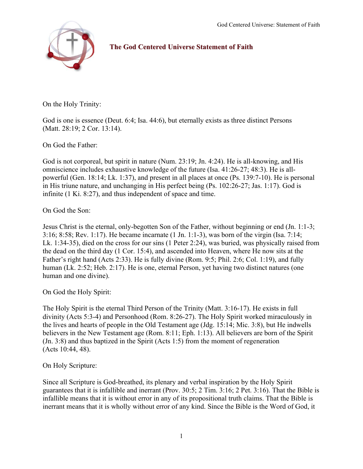

# The God Centered Universe Statement of Faith

On the Holy Trinity:

God is one is essence (Deut. 6:4; Isa. 44:6), but eternally exists as three distinct Persons (Matt. 28:19; 2 Cor. 13:14).

On God the Father:

God is not corporeal, but spirit in nature (Num. 23:19; Jn. 4:24). He is all-knowing, and His omniscience includes exhaustive knowledge of the future (Isa. 41:26-27; 48:3). He is allpowerful (Gen. 18:14; Lk. 1:37), and present in all places at once (Ps. 139:7-10). He is personal in His triune nature, and unchanging in His perfect being (Ps. 102:26-27; Jas. 1:17). God is infinite (1 Ki. 8:27), and thus independent of space and time.

On God the Son:

Jesus Christ is the eternal, only-begotten Son of the Father, without beginning or end (Jn. 1:1-3; 3:16; 8:58; Rev. 1:17). He became incarnate (1 Jn. 1:1-3), was born of the virgin (Isa. 7:14; Lk. 1:34-35), died on the cross for our sins (1 Peter 2:24), was buried, was physically raised from the dead on the third day (1 Cor. 15:4), and ascended into Heaven, where He now sits at the Father's right hand (Acts 2:33). He is fully divine (Rom. 9:5; Phil. 2:6; Col. 1:19), and fully human (Lk. 2:52; Heb. 2:17). He is one, eternal Person, yet having two distinct natures (one human and one divine).

On God the Holy Spirit:

The Holy Spirit is the eternal Third Person of the Trinity (Matt. 3:16-17). He exists in full divinity (Acts 5:3-4) and Personhood (Rom. 8:26-27). The Holy Spirit worked miraculously in the lives and hearts of people in the Old Testament age (Jdg. 15:14; Mic. 3:8), but He indwells believers in the New Testament age (Rom. 8:11; Eph. 1:13). All believers are born of the Spirit (Jn. 3:8) and thus baptized in the Spirit (Acts 1:5) from the moment of regeneration (Acts 10:44, 48).

On Holy Scripture:

Since all Scripture is God-breathed, its plenary and verbal inspiration by the Holy Spirit guarantees that it is infallible and inerrant (Prov. 30:5; 2 Tim. 3:16; 2 Pet. 3:16). That the Bible is infallible means that it is without error in any of its propositional truth claims. That the Bible is inerrant means that it is wholly without error of any kind. Since the Bible is the Word of God, it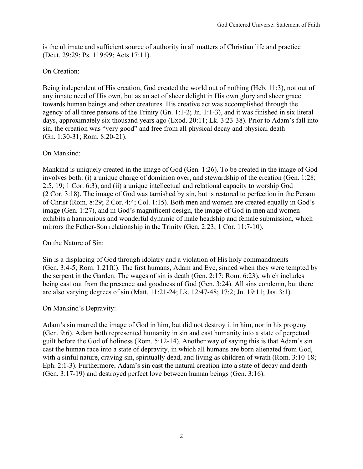is the ultimate and sufficient source of authority in all matters of Christian life and practice (Deut. 29:29; Ps. 119:99; Acts 17:11).

## On Creation:

Being independent of His creation, God created the world out of nothing (Heb. 11:3), not out of any innate need of His own, but as an act of sheer delight in His own glory and sheer grace towards human beings and other creatures. His creative act was accomplished through the agency of all three persons of the Trinity (Gn. 1:1-2; Jn. 1:1-3), and it was finished in six literal days, approximately six thousand years ago (Exod. 20:11; Lk. 3:23-38). Prior to Adam's fall into sin, the creation was "very good" and free from all physical decay and physical death (Gn. 1:30-31; Rom. 8:20-21).

## On Mankind:

Mankind is uniquely created in the image of God (Gen. 1:26). To be created in the image of God involves both: (i) a unique charge of dominion over, and stewardship of the creation (Gen. 1:28; 2:5, 19; 1 Cor. 6:3); and (ii) a unique intellectual and relational capacity to worship God (2 Cor. 3:18). The image of God was tarnished by sin, but is restored to perfection in the Person of Christ (Rom. 8:29; 2 Cor. 4:4; Col. 1:15). Both men and women are created equally in God's image (Gen. 1:27), and in God's magnificent design, the image of God in men and women exhibits a harmonious and wonderful dynamic of male headship and female submission, which mirrors the Father-Son relationship in the Trinity (Gen. 2:23; 1 Cor. 11:7-10).

## On the Nature of Sin:

Sin is a displacing of God through idolatry and a violation of His holy commandments (Gen. 3:4-5; Rom. 1:21ff.). The first humans, Adam and Eve, sinned when they were tempted by the serpent in the Garden. The wages of sin is death (Gen. 2:17; Rom. 6:23), which includes being cast out from the presence and goodness of God (Gen. 3:24). All sins condemn, but there are also varying degrees of sin (Matt. 11:21-24; Lk. 12:47-48; 17:2; Jn. 19:11; Jas. 3:1).

## On Mankind's Depravity:

Adam's sin marred the image of God in him, but did not destroy it in him, nor in his progeny (Gen. 9:6). Adam both represented humanity in sin and cast humanity into a state of perpetual guilt before the God of holiness (Rom. 5:12-14). Another way of saying this is that Adam's sin cast the human race into a state of depravity, in which all humans are born alienated from God, with a sinful nature, craving sin, spiritually dead, and living as children of wrath (Rom. 3:10-18; Eph. 2:1-3). Furthermore, Adam's sin cast the natural creation into a state of decay and death (Gen. 3:17-19) and destroyed perfect love between human beings (Gen. 3:16).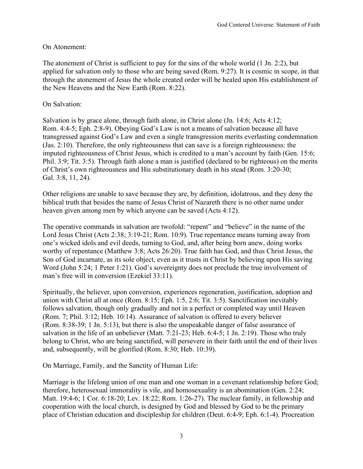### On Atonement:

The atonement of Christ is sufficient to pay for the sins of the whole world (1 Jn. 2:2), but applied for salvation only to those who are being saved (Rom. 9:27). It is cosmic in scope, in that through the atonement of Jesus the whole created order will be healed upon His establishment of the New Heavens and the New Earth (Rom. 8:22).

#### On Salvation:

Salvation is by grace alone, through faith alone, in Christ alone (Jn. 14:6; Acts 4:12; Rom. 4:4-5; Eph. 2:8-9). Obeying God's Law is not a means of salvation because all have transgressed against God's Law and even a single transgression merits everlasting condemnation (Jas. 2:10). Therefore, the only righteousness that can save is a foreign righteousness: the imputed righteousness of Christ Jesus, which is credited to a man's account by faith (Gen. 15:6; Phil. 3:9; Tit. 3:5). Through faith alone a man is justified (declared to be righteous) on the merits of Christ's own righteousness and His substitutionary death in his stead (Rom. 3:20-30; Gal. 3:8, 11, 24).

Other religions are unable to save because they are, by definition, idolatrous, and they deny the biblical truth that besides the name of Jesus Christ of Nazareth there is no other name under heaven given among men by which anyone can be saved (Acts 4:12).

The operative commands in salvation are twofold: "repent" and "believe" in the name of the Lord Jesus Christ (Acts 2:38; 3:19-21; Rom. 10:9). True repentance means turning away from one's wicked idols and evil deeds, turning to God, and, after being born anew, doing works worthy of repentance (Matthew 3:8; Acts 26:20). True faith has God, and thus Christ Jesus, the Son of God incarnate, as its sole object, even as it trusts in Christ by believing upon His saving Word (John 5:24; 1 Peter 1:21). God's sovereignty does not preclude the true involvement of man's free will in conversion (Ezekiel 33:11).

Spiritually, the believer, upon conversion, experiences regeneration, justification, adoption and union with Christ all at once (Rom. 8:15; Eph. 1:5, 2:6; Tit. 3:5). Sanctification inevitably follows salvation, though only gradually and not in a perfect or completed way until Heaven (Rom. 7; Phil. 3:12; Heb. 10:14). Assurance of salvation is offered to every believer (Rom. 8:38-39; 1 Jn. 5:13), but there is also the unspeakable danger of false assurance of salvation in the life of an unbeliever (Matt. 7:21-23; Heb. 6:4-5; 1 Jn. 2:19). Those who truly belong to Christ, who are being sanctified, will persevere in their faith until the end of their lives and, subsequently, will be glorified (Rom. 8:30; Heb. 10:39).

On Marriage, Family, and the Sanctity of Human Life:

Marriage is the lifelong union of one man and one woman in a covenant relationship before God; therefore, heterosexual immorality is vile, and homosexuality is an abomination (Gen. 2:24; Matt. 19:4-6; 1 Cor. 6:18-20; Lev. 18:22; Rom. 1:26-27). The nuclear family, in fellowship and cooperation with the local church, is designed by God and blessed by God to be the primary place of Christian education and discipleship for children (Deut. 6:4-9; Eph. 6:1-4). Procreation